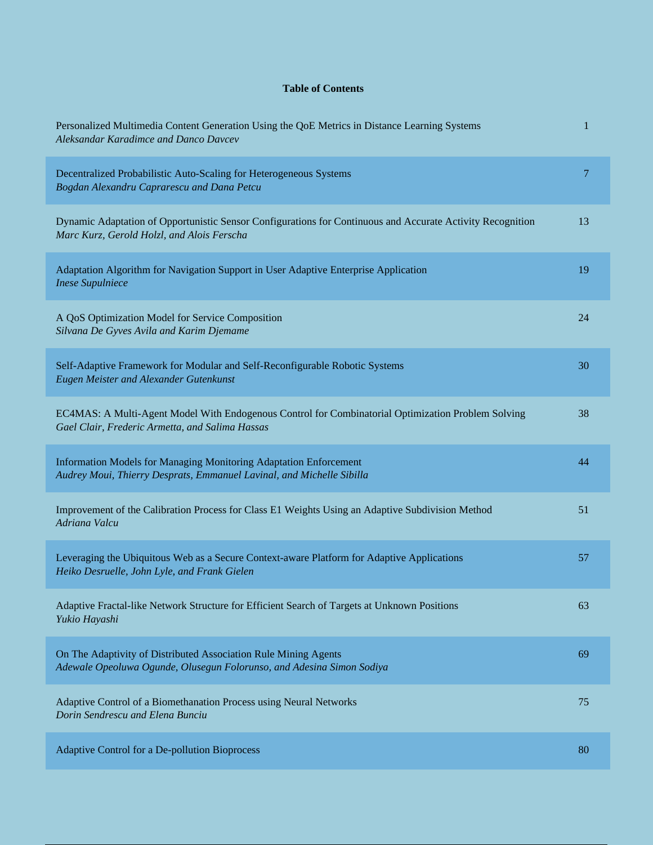## **Table of Contents**

| Personalized Multimedia Content Generation Using the QoE Metrics in Distance Learning Systems<br>Aleksandar Karadimce and Danco Davcev                   | 1  |
|----------------------------------------------------------------------------------------------------------------------------------------------------------|----|
| Decentralized Probabilistic Auto-Scaling for Heterogeneous Systems<br>Bogdan Alexandru Caprarescu and Dana Petcu                                         | 7  |
| Dynamic Adaptation of Opportunistic Sensor Configurations for Continuous and Accurate Activity Recognition<br>Marc Kurz, Gerold Holzl, and Alois Ferscha | 13 |
| Adaptation Algorithm for Navigation Support in User Adaptive Enterprise Application<br><b>Inese Supulniece</b>                                           | 19 |
| A QoS Optimization Model for Service Composition<br>Silvana De Gyves Avila and Karim Djemame                                                             | 24 |
| Self-Adaptive Framework for Modular and Self-Reconfigurable Robotic Systems<br>Eugen Meister and Alexander Gutenkunst                                    | 30 |
| EC4MAS: A Multi-Agent Model With Endogenous Control for Combinatorial Optimization Problem Solving<br>Gael Clair, Frederic Armetta, and Salima Hassas    | 38 |
| Information Models for Managing Monitoring Adaptation Enforcement<br>Audrey Moui, Thierry Desprats, Emmanuel Lavinal, and Michelle Sibilla               | 44 |
| Improvement of the Calibration Process for Class E1 Weights Using an Adaptive Subdivision Method<br>Adriana Valcu                                        | 51 |
| Leveraging the Ubiquitous Web as a Secure Context-aware Platform for Adaptive Applications<br>Heiko Desruelle, John Lyle, and Frank Gielen               | 57 |
| Adaptive Fractal-like Network Structure for Efficient Search of Targets at Unknown Positions<br>Yukio Hayashi                                            | 63 |
| On The Adaptivity of Distributed Association Rule Mining Agents<br>Adewale Opeoluwa Ogunde, Olusegun Folorunso, and Adesina Simon Sodiya                 | 69 |
| Adaptive Control of a Biomethanation Process using Neural Networks<br>Dorin Sendrescu and Elena Bunciu                                                   | 75 |
| Adaptive Control for a De-pollution Bioprocess                                                                                                           | 80 |